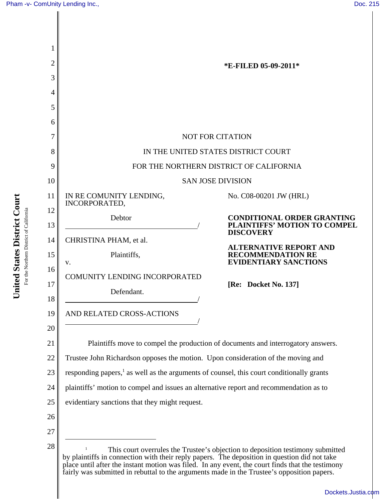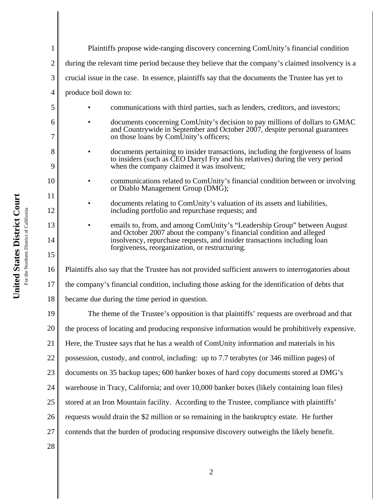|                | Plaintiffs propose wide-ranging discovery concerning ComUnity's financial condition                                                                                                                             |
|----------------|-----------------------------------------------------------------------------------------------------------------------------------------------------------------------------------------------------------------|
| $\overline{2}$ | during the relevant time period because they believe that the company's claimed insolvency is a                                                                                                                 |
| 3              | crucial issue in the case. In essence, plaintiffs say that the documents the Trustee has yet to                                                                                                                 |
| 4              | produce boil down to:                                                                                                                                                                                           |
|                |                                                                                                                                                                                                                 |
| 5              | communications with third parties, such as lenders, creditors, and investors;                                                                                                                                   |
| 6<br>7         | documents concerning ComUnity's decision to pay millions of dollars to GMAC<br>and Countrywide in September and October 2007, despite personal guarantees<br>on those loans by ComUnity's officers;             |
| 8<br>9         | documents pertaining to insider transactions, including the forgiveness of loans<br>to insiders (such as CEO Darryl Fry and his relatives) during the very period<br>when the company claimed it was insolvent; |
| 10<br>11       | communications related to ComUnity's financial condition between or involving<br>or Diablo Management Group (DMG);                                                                                              |
| 12             | documents relating to ComUnity's valuation of its assets and liabilities,<br>including portfolio and repurchase requests; and                                                                                   |
| 13             | emails to, from, and among ComUnity's "Leadership Group" between August                                                                                                                                         |
| 14             | and October 2007 about the company's financial condition and alleged<br>insolvency, repurchase requests, and insider transactions including loan                                                                |
| 15             | forgiveness, reorganization, or restructuring.                                                                                                                                                                  |
| 16             | Plaintiffs also say that the Trustee has not provided sufficient answers to interrogatories about                                                                                                               |
| 17             | the company's financial condition, including those asking for the identification of debts that                                                                                                                  |
| 18             | became due during the time period in question.                                                                                                                                                                  |
| 19             | The theme of the Trustee's opposition is that plaintiffs' requests are overbroad and that                                                                                                                       |
| 20             | the process of locating and producing responsive information would be prohibitively expensive.                                                                                                                  |
| 21             | Here, the Trustee says that he has a wealth of ComUnity information and materials in his                                                                                                                        |
| 22             | possession, custody, and control, including: up to 7.7 terabytes (or 346 million pages) of                                                                                                                      |
| 23             | documents on 35 backup tapes; 600 banker boxes of hard copy documents stored at DMG's                                                                                                                           |
| 24             | warehouse in Tracy, California; and over 10,000 banker boxes (likely containing loan files)                                                                                                                     |
| 25             | stored at an Iron Mountain facility. According to the Trustee, compliance with plaintiffs'                                                                                                                      |
| 26             | requests would drain the \$2 million or so remaining in the bankruptcy estate. He further                                                                                                                       |
| 27             | contends that the burden of producing responsive discovery outweighs the likely benefit.                                                                                                                        |
| 28             |                                                                                                                                                                                                                 |
|                |                                                                                                                                                                                                                 |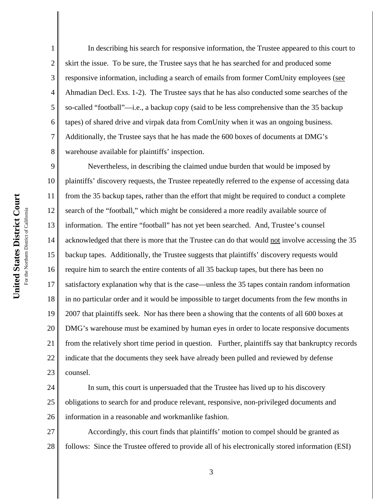In describing his search for responsive information, the Trustee appeared to this court to skirt the issue. To be sure, the Trustee says that he has searched for and produced some responsive information, including a search of emails from former ComUnity employees (see Ahmadian Decl. Exs. 1-2). The Trustee says that he has also conducted some searches of the so-called "football"—i.e., a backup copy (said to be less comprehensive than the 35 backup tapes) of shared drive and virpak data from ComUnity when it was an ongoing business. Additionally, the Trustee says that he has made the 600 boxes of documents at DMG's warehouse available for plaintiffs' inspection.

9 10 11 12 13 14 15 16 17 18 19 20 21 22 23 Nevertheless, in describing the claimed undue burden that would be imposed by plaintiffs' discovery requests, the Trustee repeatedly referred to the expense of accessing data from the 35 backup tapes, rather than the effort that might be required to conduct a complete search of the "football," which might be considered a more readily available source of information. The entire "football" has not yet been searched. And, Trustee's counsel acknowledged that there is more that the Trustee can do that would not involve accessing the 35 backup tapes. Additionally, the Trustee suggests that plaintiffs' discovery requests would require him to search the entire contents of all 35 backup tapes, but there has been no satisfactory explanation why that is the case—unless the 35 tapes contain random information in no particular order and it would be impossible to target documents from the few months in 2007 that plaintiffs seek. Nor has there been a showing that the contents of all 600 boxes at DMG's warehouse must be examined by human eyes in order to locate responsive documents from the relatively short time period in question. Further, plaintiffs say that bankruptcy records indicate that the documents they seek have already been pulled and reviewed by defense counsel.

24 25 26 In sum, this court is unpersuaded that the Trustee has lived up to his discovery obligations to search for and produce relevant, responsive, non-privileged documents and information in a reasonable and workmanlike fashion.

27 28 Accordingly, this court finds that plaintiffs' motion to compel should be granted as follows: Since the Trustee offered to provide all of his electronically stored information (ESI)

1

2

3

4

5

6

7

8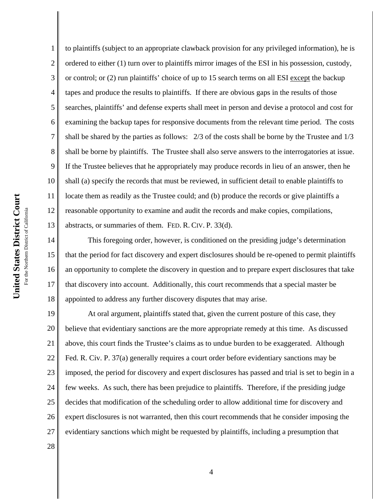1 2 3 4 5 6 7 8 9 10 11 12 13 to plaintiffs (subject to an appropriate clawback provision for any privileged information), he is ordered to either (1) turn over to plaintiffs mirror images of the ESI in his possession, custody, or control; or (2) run plaintiffs' choice of up to 15 search terms on all ESI except the backup tapes and produce the results to plaintiffs. If there are obvious gaps in the results of those searches, plaintiffs' and defense experts shall meet in person and devise a protocol and cost for examining the backup tapes for responsive documents from the relevant time period. The costs shall be shared by the parties as follows: 2/3 of the costs shall be borne by the Trustee and 1/3 shall be borne by plaintiffs. The Trustee shall also serve answers to the interrogatories at issue. If the Trustee believes that he appropriately may produce records in lieu of an answer, then he shall (a) specify the records that must be reviewed, in sufficient detail to enable plaintiffs to locate them as readily as the Trustee could; and (b) produce the records or give plaintiffs a reasonable opportunity to examine and audit the records and make copies, compilations, abstracts, or summaries of them. FED. R. CIV. P. 33(d).

14 15 16 17 18 This foregoing order, however, is conditioned on the presiding judge's determination that the period for fact discovery and expert disclosures should be re-opened to permit plaintiffs an opportunity to complete the discovery in question and to prepare expert disclosures that take that discovery into account. Additionally, this court recommends that a special master be appointed to address any further discovery disputes that may arise.

19 20 21 22 23 24 25 26 27 At oral argument, plaintiffs stated that, given the current posture of this case, they believe that evidentiary sanctions are the more appropriate remedy at this time. As discussed above, this court finds the Trustee's claims as to undue burden to be exaggerated. Although Fed. R. Civ. P. 37(a) generally requires a court order before evidentiary sanctions may be imposed, the period for discovery and expert disclosures has passed and trial is set to begin in a few weeks. As such, there has been prejudice to plaintiffs. Therefore, if the presiding judge decides that modification of the scheduling order to allow additional time for discovery and expert disclosures is not warranted, then this court recommends that he consider imposing the evidentiary sanctions which might be requested by plaintiffs, including a presumption that

28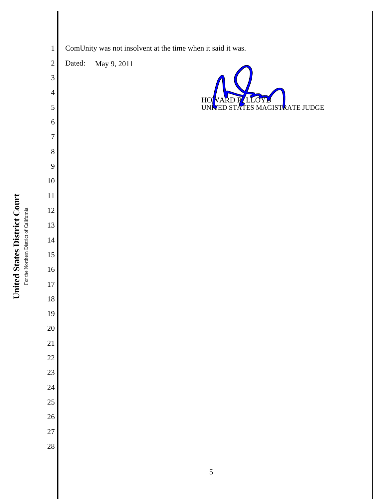



United States District Court **United States District Court**